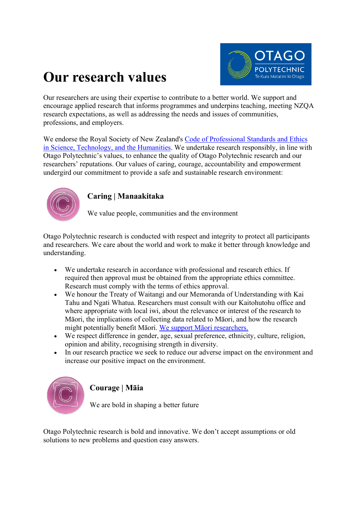

# **Our research values**

Our researchers are using their expertise to contribute to a better world. We support and encourage applied research that informs programmes and underpins teaching, meeting NZQA research expectations, as well as addressing the needs and issues of communities, professions, and employers.

We endorse the Royal Society of New Zealand's [Code of Professional Standards and Ethics](https://www.royalsociety.org.nz/who-we-are/our-rules-and-codes/code-of-professional-standards-and-ethics)  [in Science, Technology, and](https://www.royalsociety.org.nz/who-we-are/our-rules-and-codes/code-of-professional-standards-and-ethics) the Humanities. We undertake research responsibly, in line with Otago Polytechnic's values, to enhance the quality of Otago Polytechnic research and our researchers' reputations. Our values of caring, courage, accountability and empowerment undergird our commitment to provide a safe and sustainable research environment:



## **Caring | Manaakitaka**

We value people, communities and the environment

Otago Polytechnic research is conducted with respect and integrity to protect all participants and researchers. We care about the world and work to make it better through knowledge and understanding.

- We undertake research in accordance with professional and research ethics. If required then approval must be obtained from the appropriate ethics committee. Research must comply with the terms of ethics approval.
- We honour the Treaty of Waitangi and our Memoranda of Understanding with Kai Tahu and Ngati Whatua. Researchers must consult with our Kaitohutohu office and where appropriate with local iwi, about the relevance or interest of the research to Māori, the implications of collecting data related to Māori, and how the research might potentially benefit Māori. We support Māori researchers.
- We respect difference in gender, age, sexual preference, ethnicity, culture, religion, opinion and ability, recognising strength in diversity.
- In our research practice we seek to reduce our adverse impact on the environment and increase our positive impact on the environment.



# **Courage | Māia**

We are bold in shaping a better future

Otago Polytechnic research is bold and innovative. We don't accept assumptions or old solutions to new problems and question easy answers.